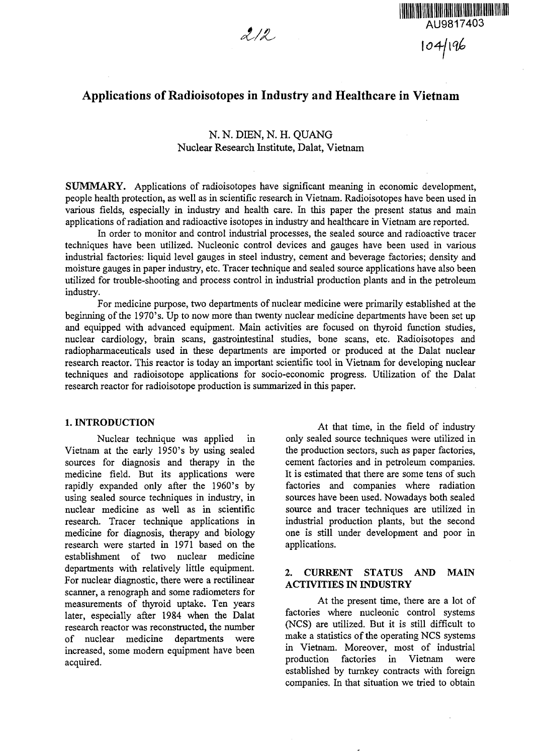



# Applications of Radioisotopes in Industry and Healthcare in Vietnam

# N. N. DIEN, N. H. QUANG Nuclear Research Institute, Dalat, Vietnam

**SUMMARY.** Applications of radioisotopes have significant meaning in economic development, people health protection, as well as in scientific research in Vietnam. Radioisotopes have been used in various fields, especially in industry and health care. In this paper the present status and main applications of radiation and radioactive isotopes in industry and healthcare in Vietnam are reported.

In order to monitor and control industrial processes, the sealed source and radioactive tracer techniques have been utilized. Nucleonic control devices and gauges have been used in various industrial factories: liquid level gauges in steel industry, cement and beverage factories; density and moisture gauges in paper industry, etc. Tracer technique and sealed source applications have also been utilized for trouble-shooting and process control in industrial production plants and in the petroleum industry.

For medicine purpose, two departments of nuclear medicine were primarily established at the beginning of the 1970's. Up to now more than twenty nuclear medicine departments have been set up and equipped with advanced equipment. Main activities are focused on thyroid function studies, nuclear cardiology, brain scans, gastrointestinal studies, bone scans, etc. Radioisotopes and radiopharmaceuticals used in these departments are imported or produced at the Dalat nuclear research reactor. This reactor is today an important scientific tool in Vietnam for developing nuclear techniques and radioisotope applications for socio-economic progress. Utilization of the Dalat research reactor for radioisotope production is summarized in this paper.

#### **1. INTRODUCTION**

Nuclear technique was applied in Vietnam at the early 1950's by using sealed sources for diagnosis and therapy in the medicine field. But its applications were rapidly expanded only after the 1960's by using sealed source techniques in industry, in nuclear medicine as well as in scientific research. Tracer technique applications in medicine for diagnosis, therapy and biology research were started in 1971 based on the establishment of two nuclear medicine departments with relatively little equipment. For nuclear diagnostic, there were a rectilinear scanner, a renograph and some radiometers for measurements of thyroid uptake. Ten years later, especially after 1984 when the Dalat research reactor was reconstructed, the number of nuclear medicine departments were increased, some modern equipment have been acquired.

At that time, in the field of industry only sealed source techniques were utilized in the production sectors, such as paper factories, cement factories and in petroleum companies. It is estimated that there are some tens of such factories and companies where radiation sources have been used. Nowadays both sealed source and tracer techniques are utilized in industrial production plants, but the second one is still under development and poor in applications.

### **2. CURRENT STATUS AND MAIN ACTIVITIES IN INDUSTRY**

At the present time, there are a lot of factories where nucleonic control systems (NCS) are utilized. But it is still difficult to make a statistics of the operating NCS systems in Vietnam. Moreover, most of industrial production factories in Vietnam were established by turnkey contracts with foreign companies. In that situation we tried to obtain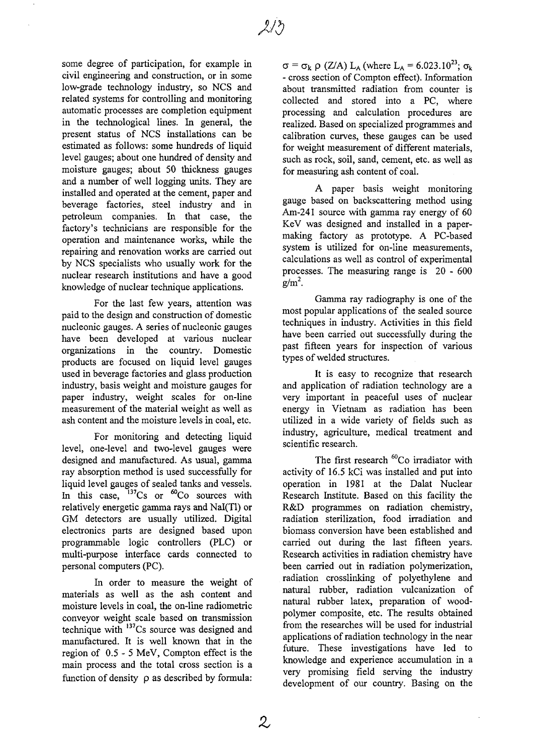some degree of participation, for example in civil engineering and construction, or in some low-grade technology industry, so NCS and related systems for controlling and monitoring automatic processes are completion equipment in the technological lines. In general, the present status of NCS installations can be estimated as follows: some hundreds of liquid level gauges; about one hundred of density and moisture gauges; about 50 thickness gauges and a number of well logging units. They are installed and operated at the cement, paper and beverage factories, steel industry and in petroleum companies. In that case, the factory's technicians are responsible for the operation and maintenance works, while the repairing and renovation works are carried out by NCS specialists who usually work for the nuclear research institutions and have a good knowledge of nuclear technique applications.

For the last few years, attention was paid to the design and construction of domestic nucleonic gauges. A series of nucleonic gauges have been developed at various nuclear organizations in the country. Domestic products are focused on liquid level gauges used in beverage factories and glass production industry, basis weight and moisture gauges for paper industry, weight scales for on-line measurement of the material weight as well as ash content and the moisture levels in coal, etc.

For monitoring and detecting liquid level, one-level and two-level gauges were designed and manufactured. As usual, gamma ray absorption method is used successfully for liquid level gauges of sealed tanks and vessels. In this case,  $^{137}Cs$  or  $^{60}Co$  sources with relatively energetic gamma rays and Nal(Tl) or GM detectors are usually utilized. Digital electronics parts are designed based upon programmable logic controllers (PLC) or multi-purpose interface cards connected to personal computers (PC).

In order to measure the weight of materials as well as the ash content and moisture levels in coal, the on-line radiometric conveyor weight scale based on transmission technique with <sup>137</sup>Cs source was designed and manufactured. It is well known that in the region of 0.5-5 MeV, Compton effect is the main process and the total cross section is a function of density  $\rho$  as described by formula:  $\sigma = \sigma_k \rho$  (Z/A) L<sub>A</sub> (where L<sub>A</sub> = 6.023.10<sup>23</sup>;  $\sigma_k$ ) - cross section of Compton effect). Information about transmitted radiation from counter is collected and stored into a PC, where processing and calculation procedures are realized. Based on specialized programmes and calibration curves, these gauges can be used for weight measurement of different materials, such as rock, soil, sand, cement, etc. as well as for measuring ash content of coal.

A paper basis weight monitoring gauge based on backscattering method using Am-241 source with gamma ray energy of 60 KeV was designed and installed in a papermaking factory as prototype. A PC-based system is utilized for on-line measurements, calculations as well as control of experimental processes. The measuring range is 20 - 600  $g/m<sup>2</sup>$ .

Gamma ray radiography is one of the most popular applications of the sealed source techniques in industry. Activities in this field have been carried out successfully during the past fifteen years for inspection of various types of welded structures.

It is easy to recognize that research and application of radiation technology are a very important in peaceful uses of nuclear energy in Vietnam as radiation has been utilized in a wide variety of fields such as industry, agriculture, medical treatment and scientific research.

The first research <sup>60</sup>Co irradiator with activity of 16.5 kCi was installed and put into operation in 1981 at the Dalat Nuclear Research Institute. Based on this facility the R&D programmes on radiation chemistry, radiation sterilization, food irradiation and biomass conversion have been established and carried out during the last fifteen years. Research activities in radiation chemistry have been carried out in radiation polymerization, radiation crosslinking of polyethylene and natural rubber, radiation vulcanization of natural rubber latex, preparation of woodpolymer composite, etc. The results obtained from the researches will be used for industrial applications of radiation technology in the near future. These investigations have led to knowledge and experience accumulation in a very promising field serving the industry development of our country. Basing on the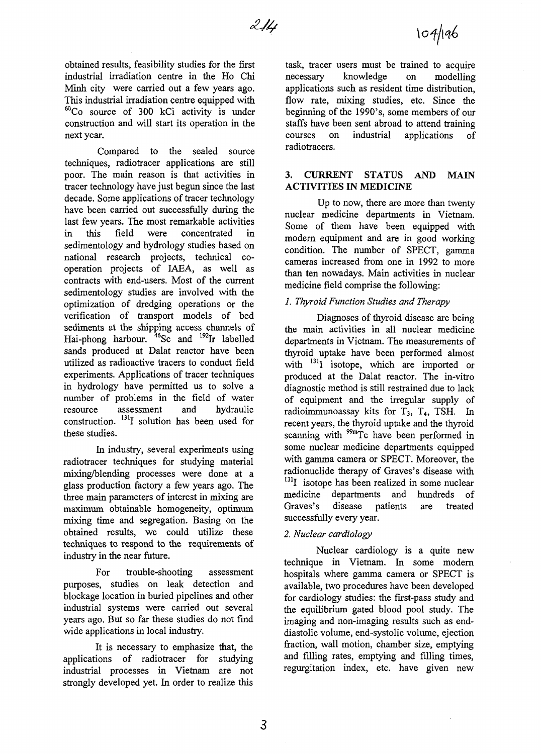obtained results, feasibility studies for the first industrial irradiation centre in the Ho Chi Minh city were carried out a few years ago. This industrial irradiation centre equipped with  ${}^{\text{60}}$ Co source of 300 kCi activity is under construction and will start its operation in the next year.

Compared to the sealed source techniques, radiotracer applications are still poor. The main reason is that activities in tracer technology have just begun since the last decade. Some applications of tracer technology have been carried out successfully during the last few years. The most remarkable activities in this field were concentrated in sedimentology and hydrology studies based on national research projects, technical cooperation projects of IAEA, as well as contracts with end-users. Most of the current sedimentology studies are involved with the optimization of dredging operations or the verification of transport models of bed sediments at the shipping access channels of Hai-phong harbour.<sup>46</sup>Sc and <sup>192</sup>Ir labelled sands produced at Dalat reactor have been utilized as radioactive tracers to conduct field experiments. Applications of tracer techniques in hydrology have permitted us to solve a number of problems in the field of water resource assessment and hydraulic construction. 13II solution has been used for these studies.

In industry, several experiments using radiotracer techniques for studying material mixing/blending processes were done at a glass production factory a few years ago. The three main parameters of interest in mixing are maximum obtainable homogeneity, optimum mixing time and segregation. Basing on the obtained results, we could utilize these techniques to respond to the requirements of industry in the near future.

For trouble-shooting assessment purposes, studies on leak detection and blockage location in buried pipelines and other industrial systems were carried out several years ago. But so far these studies do not find wide applications in local industry.

It is necessary to emphasize that, the applications of radiotracer for studying industrial processes in Vietnam are not strongly developed yet. In order to realize this

task, tracer users must be trained to acquire necessary knowledge on modelling applications such as resident time distribution, flow rate, mixing studies, etc. Since the beginning of the 1990's, some members of our staffs have been sent abroad to attend training courses on industrial applications of radiotracers.

## 3. CURRENT STATUS **AND** MAIN ACTIVITIES IN MEDICINE

Up to now, there are more than twenty nuclear medicine departments in Vietnam. Some of them have been equipped with modern equipment and are in good working condition. The number of SPECT, gamma cameras increased from one in 1992 to more than ten nowadays. Main activities in nuclear medicine field comprise the following:

## /. *Thyroid Function Studies and Therapy*

Diagnoses of thyroid disease are being the main activities in all nuclear medicine departments in Vietnam. The measurements of thyroid uptake have been performed almost with <sup>131</sup>I isotope, which are imported or produced at the Dalat reactor. The in-vitro diagnostic method is still restrained due to lack of equipment and the irregular supply of radioimmunoassay kits for  $T_3$ ,  $T_4$ , TSH. In recent years, the thyroid uptake and the thyroid scanning with <sup>99m</sup>Tc have been performed in some nuclear medicine departments equipped with gamma camera or SPECT. Moreover, the radionuclide therapy of Graves's disease with <sup>131</sup>I isotope has been realized in some nuclear medicine departments and hundreds of Graves's disease patients are treated successfully every year.

## *2. Nuclear cardiology*

Nuclear cardiology is a quite new technique in Vietnam. In some modern hospitals where gamma camera or SPECT is available, two procedures have been developed for cardiology studies: the first-pass study and the equilibrium gated blood pool study. The imaging and non-imaging results such as enddiastolic volume, end-systolic volume, ejection fraction, wall motion, chamber size, emptying and filling rates, emptying and filling times, regurgitation index, etc. have given new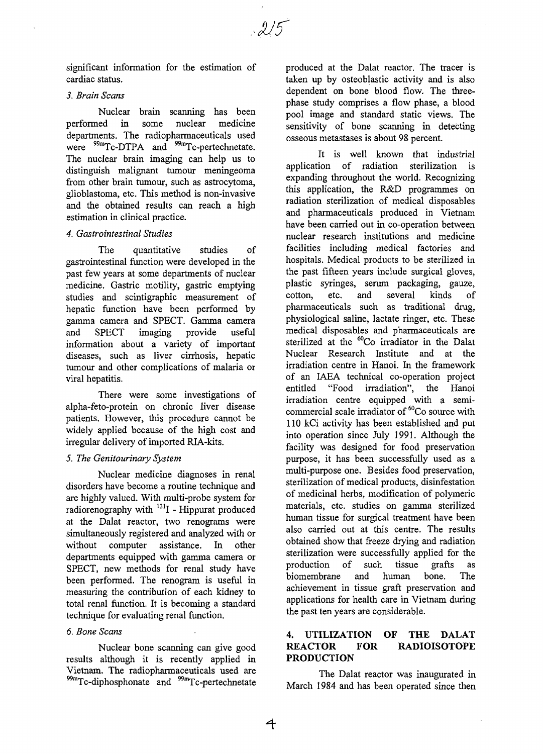significant information for the estimation of cardiac status.

#### *3. Brain Scans*

Nuclear brain scanning has been performed in some nuclear medicine departments. The radiopharmaceuticals used were <sup>99m</sup>Tc-DTPA and <sup>99m</sup>Tc-pertechnetate The nuclear brain imaging can help us to distinguish malignant tumour meningeoma from other brain tumour, such as astrocytoma, glioblastoma, etc. This method is non-invasive and the obtained results can reach a high estimation in clinical practice.

#### *4. Gastrointestinal Studies*

The quantitative studies of gastrointestinal function were developed in the past few years at some departments of nuclear medicine. Gastric motility, gastric emptying studies and scintigraphic measurement of hepatic function have been performed by gamma camera and SPECT. Gamma camera and SPECT imaging provide useful information about a variety of important diseases, such as liver cirrhosis, hepatic tumour and other complications of malaria or viral hepatitis.

There were some investigations of alpha-feto-protein on chronic liver disease patients. However, this procedure cannot be widely applied because of the high cost and irregular delivery of imported RIA-kits.

### *5. The Genitourinary System*

Nuclear medicine diagnoses in renal disorders have become a routine technique and are highly valued. With multi-probe system for radiorenography with <sup>131</sup>I - Hippurat produced at the Dalat reactor, two renograms were simultaneously registered and analyzed with or without computer assistance. In other departments equipped with gamma camera or SPECT, new methods for renal study have been performed. The renogram is useful in measuring the contribution of each kidney to total renal function. It is becoming a standard technique for evaluating renal function.

### *6. Bone Scans*

Nuclear bone scanning can give good results although it is recently applied in Vietnam. The radiopharmaceuticals used are <sup>99m</sup>Tc-diphosphonate and <sup>99m</sup>Tc-pertechnetate

produced at the Dalat reactor. The tracer is taken up by osteoblastic activity and is also dependent on bone blood flow. The threephase study comprises a flow phase, a blood pool image and standard static views. The sensitivity of bone scanning in detecting osseous metastases is about 98 percent.

It is well known that industrial application of radiation sterilization is expanding throughout the world. Recognizing this application, the R&D programmes on radiation sterilization of medical disposables and pharmaceuticals produced in Vietnam have been carried out in co-operation between nuclear research institutions and medicine facilities including medical factories and hospitals. Medical products to be sterilized in the past fifteen years include surgical gloves, plastic syringes, serum packaging, gauze, cotton, etc. and several kinds of Pharmaceuticals such as traditional drug, physiological saline, lactate ringer, etc. These medical disposables and pharmaceuticals are sterilized at the <sup>60</sup>Co irradiator in the Dalat Nuclear Research Institute and at the irradiation centre in Hanoi. In the framework of an IAEA technical co-operation project entitled "Food irradiation", the Hanoi irradiation centre equipped with a semimutuation centre equipped with a semi-110 kCi activity has been established and put into operation since July 1991. Although the facility was designed for food preservation purpose, it has been successfully used as a multi-purpose one. Besides food preservation, sterilization of medical products, disinfestation of medicinal herbs, modification of polymeric materials, etc. studies on gamma sterilized human tissue for surgical treatment have been also carried out at this centre. The results obtained show that freeze drying and radiation sterilization were successfully applied for the  $p_1$  is the succession of the succession  $q_2$ production of such tissue grafts as<br>biomembrane and human bone. The  $\alpha$  and  $\alpha$  in  $\alpha$  being  $\alpha$  and  $\alpha$  and  $\alpha$  and  $\alpha$  and  $\alpha$  and  $\alpha$  and  $\alpha$  and  $\alpha$  and  $\alpha$  and  $\alpha$  and  $\alpha$  and  $\alpha$  and  $\alpha$  and  $\alpha$  and  $\alpha$  and  $\alpha$  and  $\alpha$  and  $\alpha$  and  $\alpha$  and  $\alpha$  and  $\alpha$  and  $\alpha$ achievement in ussue gran preservation and applications for health care in Vietnam during<br>the past ten years are considerable.

## **4. UTILIZATION OF THE DALAT REACTOR FOR RADIOISOTOPE PRODUCTION**

The Dalat reactor was inaugurated in March 1984 and has been operated since then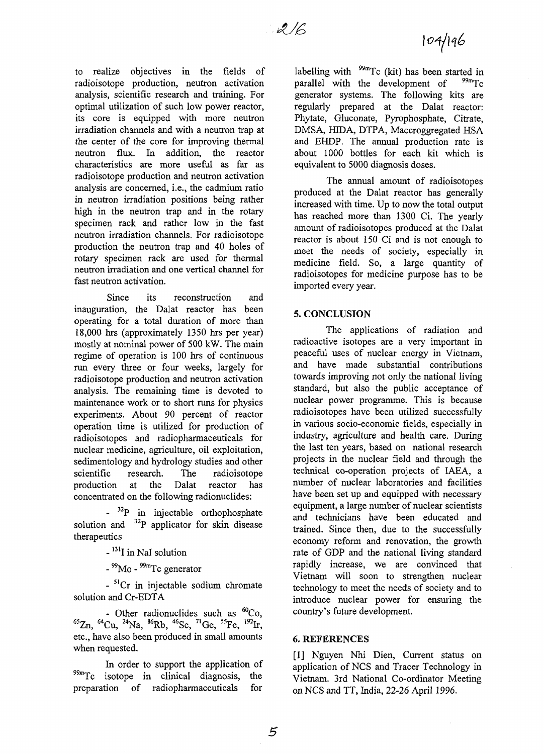to realize objectives in the fields of radioisotope production, neutron activation analysis, scientific research and training. For optimal utilization of such low power reactor, its core is equipped with more neutron irradiation channels and with a neutron trap at the center of the core for improving thermal neutron flux. In addition, the reactor characteristics are more useful as far as radioisotope production and neutron activation analysis are concerned, i.e., the cadmium ratio in neutron irradiation positions being rather high in the neutron trap and in the rotary specimen rack and rather low in the fast neutron irradiation channels. For radioisotope production the neutron trap and 40 holes of rotary specimen rack are used for thermal neutron irradiation and one vertical channel for fast neutron activation.

Since its reconstruction and inauguration, the Dalat reactor has been operating for a total duration of more than 18,000 hrs (approximately 1350 hrs per year) mostly at nominal power of 500 kW. The main regime of operation is 100 hrs of continuous run every three or four weeks, largely for radioisotope production and neutron activation analysis. The remaining time is devoted to maintenance work or to short runs for physics experiments. About 90 percent of reactor operation time is utilized for production of radioisotopes and radiopharmaceuticals for nuclear medicine, agriculture, oil exploitation, sedimentology and hydrology studies and other scientific research. The radioisotope production at the Dalat reactor has concentrated on the following radionuclides:

- <sup>32</sup>P in injectable orthophosphate solution and <sup>32</sup>P applicator for skin disease therapeutics

- <sup>131</sup>I in NaI solution

- <sup>99</sup>Mo - <sup>99m</sup>Tc generator

- <sup>51</sup>Cr in injectable sodium chromate solution and Cr-EDTA

- Other radionuclides such as <sup>60</sup>Co,  ${}^{65}$ Zn,  ${}^{64}$ Cu,  ${}^{24}$ Na,  ${}^{86}$ Rb,  ${}^{46}$ Sc,  ${}^{71}$ Ge,  ${}^{55}$ Fe,  ${}^{192}$ I etc., have also been produced in small amounts when requested.

In order to support the application of 99mTc isotope in clinical diagnosis, the preparation of radiopharmaceuticals for

labelling with <sup>99m</sup>Tc (kit) has been started in parallel with the development of <sup>99m</sup>Tc generator systems. The following kits are regularly prepared at the Dalat reactor: Phytate, Gluconate, Pyrophosphate, Citrate, DMSA, HIDA, DTPA, Maccroggregated HSA and EHDP. The annual production rate is about 1000 bottles for each kit which is equivalent to 5000 diagnosis doses.

The annual amount of radioisotopes produced at the Dalat reactor has generally increased with time. Up to now the total output has reached more than 1300 Ci. The yearly amount of radioisotopes produced at the Dalat reactor is about 150 Ci and is not enough to meet the needs of society, especially in medicine field. So, a large quantity of radioisotopes for medicine purpose has to be imported every year.

### **5. CONCLUSION**

The applications of radiation and radioactive isotopes are a very important in peaceful uses of nuclear energy in Vietnam, and have made substantial contributions towards improving not only the national living standard, but also the public acceptance of nuclear power programme. This is because radioisotopes have been utilized successfully in various socio-economic fields, especially in industry, agriculture and health care. During the last ten years, based on national research projects in the nuclear field and through the technical co-operation projects of IAEA, a number of nuclear laboratories and facilities have been set up and equipped with necessary equipment, a large number of nuclear scientists and technicians have been educated and trained. Since then, due to the successfully economy reform and renovation, the growth rate of GDP and the national living standard rapidly increase, we are convinced that Vietnam will soon to strengthen nuclear technology to meet the needs of society and to introduce nuclear power for ensuring the country's future development.

#### 6. **REFERENCES**

[1] Nguyen Nhi Dien, Current status on application of NCS and Tracer Technology in Vietnam. 3rd National Co-ordinator Meeting on NCS and TT, India, 22-26 April 1996.